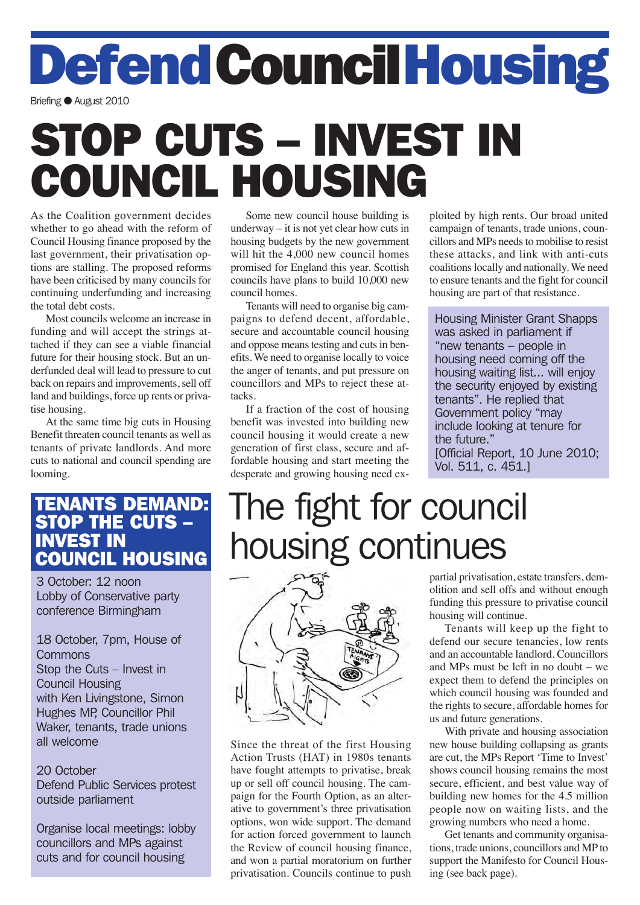Defend Council Housing

Briefing C August 2010

# STOP CUTS – INVEST IN COUNCIL HOUSING

As the Coalition government decides whether to go ahead with the reform of Council Housing finance proposed by the last government, their privatisation options are stalling. The proposed reforms have been criticised by many councils for continuing underfunding and increasing the total debt costs.

Most councils welcome an increase in funding and will accept the strings attached if they can see a viable financial future for their housing stock. But an underfunded deal will lead to pressure to cut back on repairs and improvements, sell off land and buildings, force up rents or privatise housing.

At the same time big cuts in Housing Benefit threaten council tenants as well as tenants of private landlords. And more cuts to national and council spending are looming.

Some new council house building is underway – it is not yet clear how cuts in housing budgets by the new government will hit the 4,000 new council homes promised for England this year. Scottish councils have plans to build 10,000 new council homes.

Tenants will need to organise big campaigns to defend decent, affordable, secure and accountable council housing and oppose means testing and cuts in benefits. We need to organise locally to voice the anger of tenants, and put pressure on councillors and MPs to reject these attacks.

If a fraction of the cost of housing benefit was invested into building new council housing it would create a new generation of first class, secure and affordable housing and start meeting the desperate and growing housing need exploited by high rents. Our broad united campaign of tenants, trade unions, councillors and MPs needs to mobilise to resist these attacks, and link with anti-cuts coalitions locally and nationally. We need to ensure tenants and the fight for council housing are part of that resistance.

Housing Minister Grant Shapps was asked in parliament if "new tenants – people in housing need coming off the housing waiting list... will enjoy the security enjoyed by existing tenants". He replied that Government policy "may include looking at tenure for the future." [Official Report, 10 June 2010;

Vol. 511, c. 451.]

### TENANTS DEMAND: STOP THE CUTS – INVEST IN COUNCIL HOUSING

3 October: 12 noon Lobby of Conservative party conference Birmingham

18 October, 7pm, House of **Commons** Stop the Cuts – Invest in Council Housing with Ken Livingstone, Simon Hughes MP, Councillor Phil Waker, tenants, trade unions all welcome

#### 20 October

Defend Public Services protest outside parliament

Organise local meetings: lobby councillors and MPs against cuts and for council housing

## The fight for council housing continues



Since the threat of the first Housing Action Trusts (HAT) in 1980s tenants have fought attempts to privatise, break up or sell off council housing. The campaign for the Fourth Option, as an alterative to government's three privatisation options, won wide support. The demand for action forced government to launch the Review of council housing finance, and won a partial moratorium on further privatisation. Councils continue to push partial privatisation, estate transfers, demolition and sell offs and without enough funding this pressure to privatise council housing will continue.

Tenants will keep up the fight to defend our secure tenancies, low rents and an accountable landlord. Councillors and MPs must be left in no doubt – we expect them to defend the principles on which council housing was founded and the rights to secure, affordable homes for us and future generations.

With private and housing association new house building collapsing as grants are cut, the MPs Report 'Time to Invest' shows council housing remains the most secure, efficient, and best value way of building new homes for the 4.5 million people now on waiting lists, and the growing numbers who need a home.

Get tenants and community organisations, trade unions, councillors and MP to support the Manifesto for Council Housing (see back page).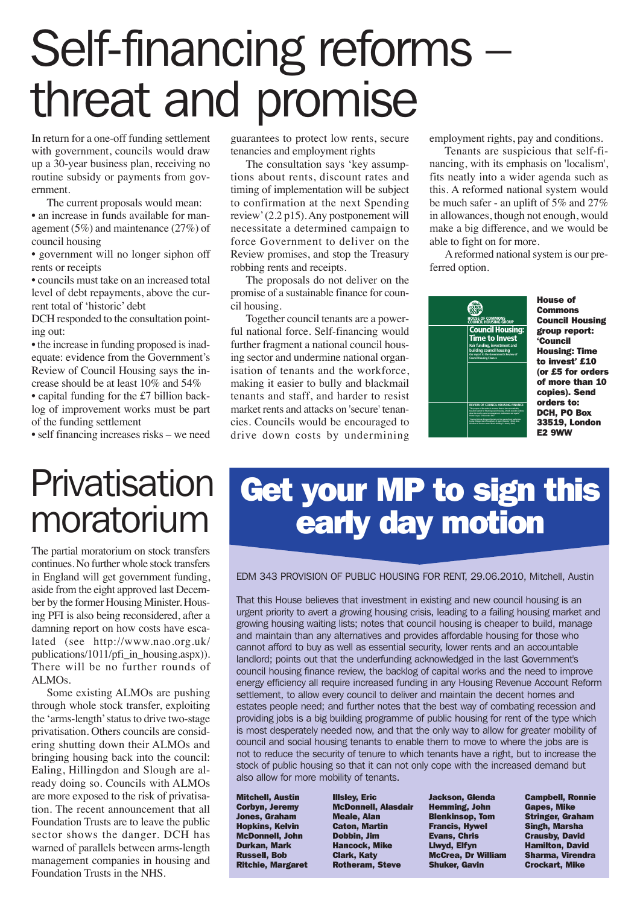# Self-financing reforms – threat and promise

In return for a one-off funding settlement with government, councils would draw up a 30-year business plan, receiving no routine subsidy or payments from government.

The current proposals would mean:

• an increase in funds available for management (5%) and maintenance (27%) of council housing

• government will no longer siphon off rents or receipts

• councils must take on an increased total level of debt repayments, above the current total of 'historic' debt

DCH responded to the consultation pointing out:

• the increase in funding proposed is inadequate: evidence from the Government's Review of Council Housing says the increase should be at least 10% and 54% • capital funding for the £7 billion back-

log of improvement works must be part of the funding settlement

• self financing increases risks – we need

guarantees to protect low rents, secure tenancies and employment rights

The consultation says 'key assumptions about rents, discount rates and timing of implementation will be subject to confirmation at the next Spending review' (2.2 p15). Any postponement will necessitate a determined campaign to force Government to deliver on the Review promises, and stop the Treasury robbing rents and receipts.

The proposals do not deliver on the promise of a sustainable finance for council housing.

Together council tenants are a powerful national force. Self-financing would further fragment a national council housing sector and undermine national organisation of tenants and the workforce, making it easier to bully and blackmail tenants and staff, and harder to resist market rents and attacks on 'secure' tenancies. Councils would be encouraged to drive down costs by undermining

employment rights, pay and conditions.

Tenants are suspicious that self-financing, with its emphasis on 'localism', fits neatly into a wider agenda such as this. A reformed national system would be much safer - an uplift of 5% and 27% in allowances, though not enough, would make a big difference, and we would be able to fight on for more.

A reformed national system is our preferred option.



House of Commons Council Housing group report: 'Council Housing: Time to invest' £10 (or £5 for orders of more than 10 copies). Send orders to: DCH, PO Box 33519, London E2 9WW

### **Privatisation** moratorium

The partial moratorium on stock transfers continues. No further whole stock transfers in England will get government funding, aside from the eight approved last December by the former Housing Minister. Housing PFI is also being reconsidered, after a damning report on how costs have escalated (see http://www.nao.org.uk/ publications/1011/pfi\_in\_housing.aspx)). There will be no further rounds of ALMOs.

Some existing ALMOs are pushing through whole stock transfer, exploiting the 'arms-length' status to drive two-stage privatisation. Others councils are considering shutting down their ALMOs and bringing housing back into the council: Ealing, Hillingdon and Slough are already doing so. Councils with ALMOs are more exposed to the risk of privatisation. The recent announcement that all Foundation Trusts are to leave the public sector shows the danger. DCH has warned of parallels between arms-length management companies in housing and Foundation Trusts in the NHS.

### Get your MP to sign this early day motion

EDM 343 PROVISION OF PUBLIC HOUSING FOR RENT, 29.06.2010, Mitchell, Austin

That this House believes that investment in existing and new council housing is an urgent priority to avert a growing housing crisis, leading to a failing housing market and growing housing waiting lists; notes that council housing is cheaper to build, manage and maintain than any alternatives and provides affordable housing for those who cannot afford to buy as well as essential security, lower rents and an accountable landlord; points out that the underfunding acknowledged in the last Government's council housing finance review, the backlog of capital works and the need to improve energy efficiency all require increased funding in any Housing Revenue Account Reform settlement, to allow every council to deliver and maintain the decent homes and estates people need; and further notes that the best way of combating recession and providing jobs is a big building programme of public housing for rent of the type which is most desperately needed now, and that the only way to allow for greater mobility of council and social housing tenants to enable them to move to where the jobs are is not to reduce the security of tenure to which tenants have a right, but to increase the stock of public housing so that it can not only cope with the increased demand but also allow for more mobility of tenants.

Mitchell, Austin Corbyn, Jeremy Jones, Graham Hopkins, Kelvin McDonnell, John Durkan, Mark Russell, Bob Ritchie, Margaret

Illsley, Eric McDonnell, Alasdair Meale, Alan Caton, Martin Dobbin, Jim Hancock, Mike Clark, Katy Rotheram, Steve

Jackson, Glenda Hemming, John Blenkinsop, Tom Francis, Hywel Evans, Chris Llwyd, Elfyn McCrea, Dr William Shuker, Gavin

Campbell, Ronnie Gapes, Mike Stringer, Graham Singh, Marsha Crausby, David Hamilton, David Sharma, Virendra Crockart, Mike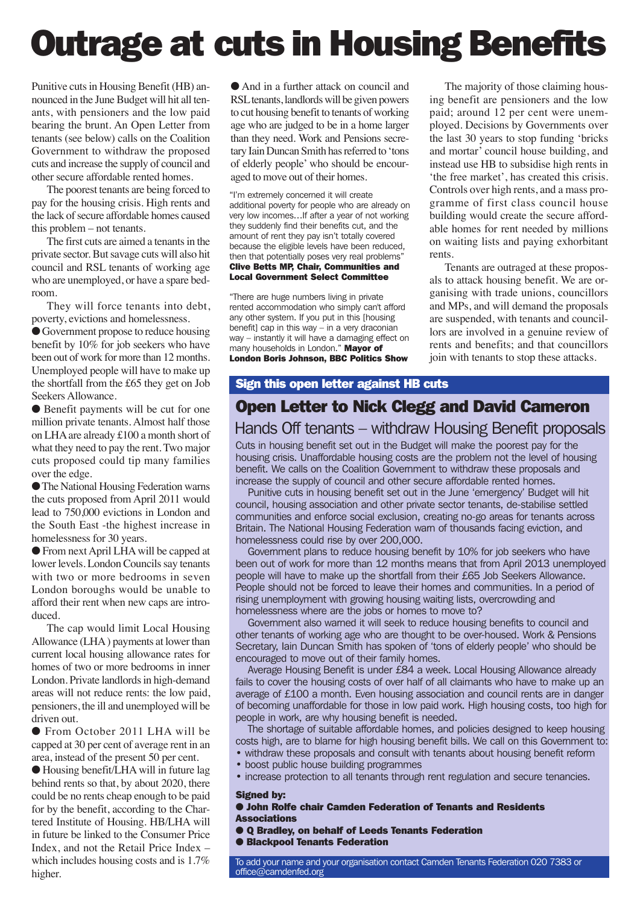# Outrage at cuts in Housing Benefits

Punitive cuts in Housing Benefit (HB) announced in the June Budget will hit all tenants, with pensioners and the low paid bearing the brunt. An Open Letter from tenants (see below) calls on the Coalition Government to withdraw the proposed cuts and increase the supply of council and other secure affordable rented homes.

The poorest tenants are being forced to pay for the housing crisis. High rents and the lack of secure affordable homes caused this problem – not tenants.

The first cuts are aimed a tenants in the private sector. But savage cuts will also hit council and RSL tenants of working age who are unemployed, or have a spare bedroom.

They will force tenants into debt, poverty, evictions and homelessness.

Government propose to reduce housing benefit by 10% for job seekers who have been out of work for more than 12 months. Unemployed people will have to make up the shortfall from the £65 they get on Job Seekers Allowance.

● Benefit payments will be cut for one million private tenants. Almost half those on LHA are already £100 a month short of what they need to pay the rent. Two major cuts proposed could tip many families over the edge.

lThe National Housing Federation warns the cuts proposed from April 2011 would lead to 750,000 evictions in London and the South East -the highest increase in homelessness for 30 years.

l From next April LHA will be capped at lower levels. London Councils say tenants with two or more bedrooms in seven London boroughs would be unable to afford their rent when new caps are introduced.

The cap would limit Local Housing Allowance (LHA ) payments at lower than current local housing allowance rates for homes of two or more bedrooms in inner London. Private landlords in high-demand areas will not reduce rents: the low paid, pensioners, the ill and unemployed will be driven out.

● From October 2011 LHA will be capped at 30 per cent of average rent in an area, instead of the present 50 per cent.

● Housing benefit/LHA will in future lag behind rents so that, by about 2020, there could be no rents cheap enough to be paid for by the benefit, according to the Chartered Institute of Housing. HB/LHA will in future be linked to the Consumer Price Index, and not the Retail Price Index – which includes housing costs and is 1.7% higher.

● And in a further attack on council and RSL tenants, landlords will be given powers to cut housing benefit to tenants of working age who are judged to be in a home larger than they need. Work and Pensions secretary Iain Duncan Smith has referred to 'tons of elderly people' who should be encouraged to move out of their homes.

"I'm extremely concerned it will create additional poverty for people who are already on very low incomes…If after a year of not working they suddenly find their benefits cut, and the amount of rent they pay isn't totally covered because the eligible levels have been reduced, then that potentially poses very real problems" Clive Betts MP, Chair, Communities and Local Government Select Committee

"There are huge numbers living in private rented accommodation who simply can't afford any other system. If you put in this [housing benefit] cap in this way – in a very draconian way – instantly it will have a damaging effect on many households in London." Mayor of London Boris Johnson, BBC Politics Show

The majority of those claiming housing benefit are pensioners and the low paid; around 12 per cent were unemployed. Decisions by Governments over the last 30 years to stop funding 'bricks and mortar' council house building, and instead use HB to subsidise high rents in 'the free market', has created this crisis. Controls over high rents, and a mass programme of first class council house building would create the secure affordable homes for rent needed by millions on waiting lists and paying exhorbitant rents.

Tenants are outraged at these proposals to attack housing benefit. We are organising with trade unions, councillors and MPs, and will demand the proposals are suspended, with tenants and councillors are involved in a genuine review of rents and benefits; and that councillors join with tenants to stop these attacks.

### Sign this open letter against HB cuts

### Open Letter to Nick Clegg and David Cameron Hands Off tenants – withdraw Housing Benefit proposals

Cuts in housing benefit set out in the Budget will make the poorest pay for the housing crisis. Unaffordable housing costs are the problem not the level of housing benefit. We calls on the Coalition Government to withdraw these proposals and increase the supply of council and other secure affordable rented homes.

Punitive cuts in housing benefit set out in the June 'emergency' Budget will hit council, housing association and other private sector tenants, de-stabilise settled communities and enforce social exclusion, creating no-go areas for tenants across Britain. The National Housing Federation warn of thousands facing eviction, and homelessness could rise by over 200,000.

Government plans to reduce housing benefit by 10% for job seekers who have been out of work for more than 12 months means that from April 2013 unemployed people will have to make up the shortfall from their £65 Job Seekers Allowance. People should not be forced to leave their homes and communities. In a period of rising unemployment with growing housing waiting lists, overcrowding and homelessness where are the jobs or homes to move to?

Government also warned it will seek to reduce housing benefits to council and other tenants of working age who are thought to be over-housed. Work & Pensions Secretary, Iain Duncan Smith has spoken of 'tons of elderly people' who should be encouraged to move out of their family homes.

Average Housing Benefit is under £84 a week. Local Housing Allowance already fails to cover the housing costs of over half of all claimants who have to make up an average of £100 a month. Even housing association and council rents are in danger of becoming unaffordable for those in low paid work. High housing costs, too high for people in work, are why housing benefit is needed.

The shortage of suitable affordable homes, and policies designed to keep housing costs high, are to blame for high housing benefit bills. We call on this Government to: • withdraw these proposals and consult with tenants about housing benefit reform

- boost public house building programmes
- increase protection to all tenants through rent regulation and secure tenancies.

#### Signed by:

- **John Rolfe chair Camden Federation of Tenants and Residents Associations**
- **O Q Bradley, on behalf of Leeds Tenants Federation**
- **Blackpool Tenants Federation**

To add your name and your organisation contact Camden Tenants Federation 020 7383 or office@camdenfed.org